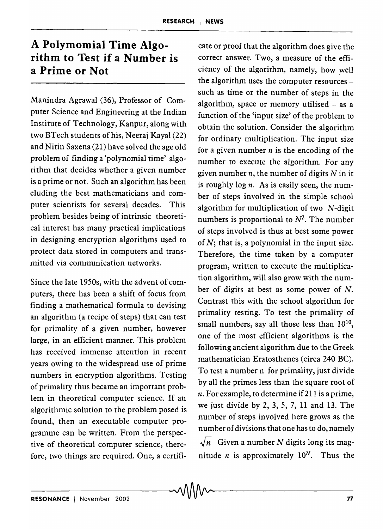## **A Polymomial Time Algorithm to Test if a Number is a Prime or Not**

Manindra Agrawal (36), Professor of Computer Science and Engineering at the Indian Institute of Technology, Kanpur, along with two BTech students of his, Neeraj Kayal (22) and Nitin Saxena (21) have solved the age old problem of finding a 'polynomial time' algorithm that decides whether a given number is a prime or not. Such an algorithm has been eluding the best mathematicians and computer scientists for several decades. This problem besides being of intrinsic theoretical interest has many practical implications in designing encryption algorithms used to protect data stored in computers and transmitted via communication networks.

Since the late 1950s, with the advent of computers, there has been a shift of focus from finding a mathematical formula to devising an algorithm (a recipe of steps) that can test for primality of a given number, however large, in an efficient manner. This problem has received immense attention in recent years owing to the widespread use of prime numbers in encryption algorithms. Testing of primality thus became an important problem in theoretical computer science. If an algorithmic solution to the problem posed is found, then an executable computer programme can be written. From the perspective of theoretical computer science, therefore, two things are required. One, a certifi-

cate or proof that the algorithm does give the correct answer. Two, a measure of the efficiency of the algorithm, namely, how well the algorithm uses the computer resources  $$ such as time or the number of steps in the algorithm, space or memory utilised  $-$  as a function of the 'input size' of the problem to obtain the solution. Consider the algorithm for ordinary multiplication. The input size for a given number *n* is the encoding of the number to execute the algorithm. For any given number *n,* the number of digits *N* in it is roughly log *n.* As is easily seen, the number of steps involved in the simple school algorithm for multiplication of two  $N$ -digit numbers is proportional to  $N^2$ . The number of steps involved is thus at best some power of *N;* that is, a polynomial in the input size. Therefore, the time taken by a computer program, written to execute the multiplication algorithm, will also grow with the number of digits at best as some power of N. Contrast this with the school algorithm for primality testing. To test the primality of small numbers, say all those less than  $10^{10}$ , one of the most efficient algorithms is the following ancient algorithm due to the Greek mathematician Eratosthenes (circa 240 BC). To test a number n for primality, just divide by all the primes less than the square root of *n.* For example, to determine if21l is a prime, we just divide by 2, 3, 5, 7, 11 and 13. The number of steps involved here grows as the number of divisions that one has to do, namely  $\sqrt{n}$  Given a number *N* digits long its magnitude *n* is approximately  $10^N$ . Thus the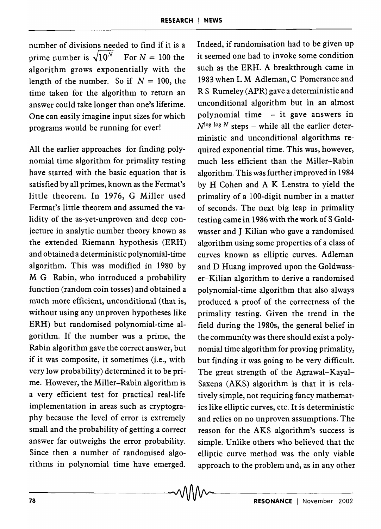number of divisions needed to find if it is a prime number is  $\sqrt{10^N}$  For  $N = 100$  the algorithm grows exponentially with the length of the number. So if  $N = 100$ , the time taken for the algorithm to return an answer could take longer than one's lifetime. One can easily imagine input sizes for which programs would be running for ever!

All the earlier approaches for finding polynomial time algorithm for primality testing have started with the basic equation that is satisfied by all primes, known as the Fermat's little theorem. In 1976, G Miller used Fermat's little theorem and assumed the validity of the as-yet-unproven and deep conjecture in analytic number theory known as the extended Riemann hypothesis (ERH) and obtained a deterministic polynomial-time algorithm. This was modified in 1980 by M G Rabin, who introduced a probability function (random coin tosses) and obtained a much more efficient, unconditional (that is, without using any unproven hypotheses like ERH) but randomised polynomial-time algorithm. If the number was a prime, the Rabin algorithm gave the correct answer, but if it was composite, it sometimes (i.e., with very low probability) determined it to be prime. However, the Miller-Rabin algorithm is a very efficient test for practical real-life implementation in areas such as cryptography because the level of error is extremely small and the probability of getting a correct answer far outweighs the error probability. Since then a number of randomised algorithms in polynomial time have emerged.

Indeed, if randomisation had to be given up it seemed one had to invoke some condition such as the ERH. A breakthrough came in 1983 when L M Adleman, C Pomerance and R S Rumeley (APR) gave a deterministic and unconditional algorithm but in an almost polynomial time  $-$  it gave answers in  $N^{\log \log N}$  steps – while all the earlier deterministic and unconditional algorithms required exponential time. This was, however, much less efficient than the Miller-Rabin algorithm. This was further improved in 1984 by H Cohen and A K Lenstra to yield the primality of a 100-digit number in a matter of seconds. The next big leap in primality testing came in 1986 with the work of S Goldwasser and J Kilian who gave a randomised algorithm using some properties of a class of curves known as elliptic curves. Adleman and D Huang improved upon the Goldwasser-Kilian algorithm to derive a randomised polynomial-time algorithm that also always produced a proof of the correctness of the primality testing. Given the trend in the field during the 1980s, the general belief in the community was there should exist a polynomial time algorithm for proving primality, but finding it was going to be very difficult. The great strength of the Agrawal-Kayal-Saxena (AKS) algorithm is that it is relatively simple, not requiring fancy mathematics like elliptic curves, etc. It is deterministic and relies on no unproven assumptions. The reason for the AKS algorithm's success is simple. Unlike others who believed that the elliptic curve method was the only viable approach to the problem and, as in any other